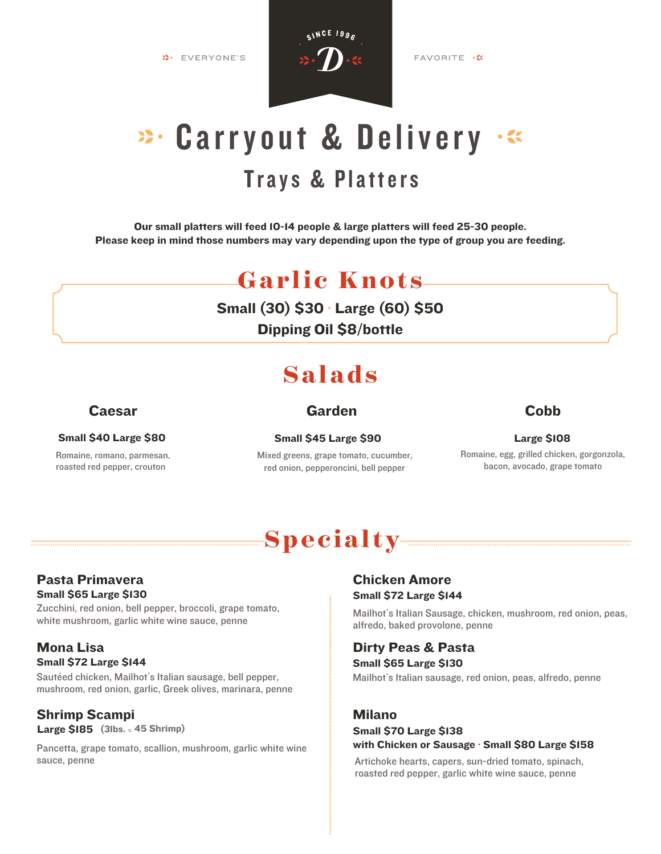**»** EVERYONE'S



FAVORITE .

# **Trays & Platters** 23. Carryout & Delivery .

Our small platters will feed 10-14 people & large platters will feed 25-30 people. Please keep in mind those numbers may vary depending upon the type of group you are feeding.

## **Garlic Knots**

Small (30) \$30 · Large (60) \$50

Dipping Oil \$8/bottle

## **Salads**

### Small \$40 Large \$80 Small \$45 Large \$90

Romaine, romano, parmesan, roasted red pepper, crouton

### Caesar Garden

### **Cobb**

Mixed greens, grape tomato, cucumber, red onion, pepperoncini, bell pepper

### Large \$108

Romaine, egg, grilled chicken, gorgonzola, bacon, avocado, grape tomato

## **Specialty**

### Pasta Primavera Small \$65 Large \$130

Zucchini, red onion, bell pepper, broccoli, grape tomato, white mushroom, garlic white wine sauce, penne

### Mona Lisa Small \$72 Large \$144

Sautéed chicken, Mailhot´s Italian sausage, bell pepper, mushroom, red onion, garlic, Greek olives, marinara, penne

### Shrimp Scampi Large \$185 (3lbs. ≈ 45 Shrimp)

Pancetta, grape tomato, scallion, mushroom, garlic white wine sauce, penne Artichoke hearts, capers, sun-dried tomato, spinach,

### Chicken Amore Small \$72 Large \$144

Mailhot´s Italian Sausage, chicken, mushroom, red onion, peas, alfredo, baked provolone, penne

### Dirty Peas & Pasta

Mailhot´s Italian sausage, red onion, peas, alfredo, penne Small \$65 Large \$130

### Milano

### Small \$70 Large \$138 with Chicken or Sausage · Small \$80 Large \$158

roasted red pepper, garlic white wine sauce, penne